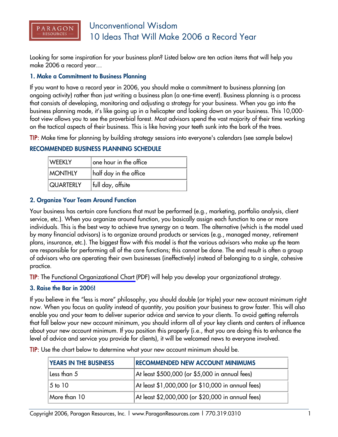

# Unconventional Wisdom 10 Ideas That Will Make 2006 a Record Year

Looking for some inspiration for your business plan? Listed below are ten action items that will help you make 2006 a record year…

#### **1. Make a Commitment to Business Planning**

If you want to have a record year in 2006, you should make a commitment to business planning (an ongoing activity) rather than just writing a business plan (a one-time event). Business planning is a process that consists of developing, monitoring and adjusting a strategy for your business. When you go into the business planning mode, it's like going up in a helicopter and looking down on your business. This 10,000 foot view allows you to see the proverbial forest. Most advisors spend the vast majority of their time working on the tactical aspects of their business. This is like having your teeth sunk into the bark of the trees.

TIP: Make time for planning by building strategy sessions into everyone's calendars (see sample below)

# **RECOMMENDED BUSINESS PLANNING SCHEDULE**

| <b>WEEKLY</b>    | $ $ one hour in the office $\,$ |
|------------------|---------------------------------|
| <b>MONTHLY</b>   | half day in the office          |
| <b>QUARTERLY</b> | full day, offsite               |

# **2. Organize Your Team Around Function**

Your business has certain core functions that must be performed (e.g., marketing, portfolio analysis, client service, etc.). When you organize around function, you basically assign each function to one or more individuals. This is the best way to achieve true synergy on a team. The alternative (which is the model used by many financial advisors) is to organize around products or services (e.g., managed money, retirement plans, insurance, etc.). The biggest flaw with this model is that the various advisors who make up the team are responsible for performing all of the core functions; this cannot be done. The end result is often a group of advisors who are operating their own businesses (ineffectively) instead of belonging to a single, cohesive practice.

TIP: The [Functional Organizational Chart](http://www.ParagonResources.com/library/org.pdf) (PDF) will help you develop your organizational strategy.

# **3. Raise the Bar in 200**6**!**

If you believe in the "less is more" philosophy, you should double (or triple) your new account minimum right now. When you focus on quality instead of quantity, you position your business to grow faster. This will also enable you and your team to deliver superior advice and service to your clients. To avoid getting referrals that fall below your new account minimum, you should inform all of your key clients and centers of influence about your new account minimum. If you position this properly (i.e., that you are doing this to enhance the level of advice and service you provide for clients), it will be welcomed news to everyone involved.

TIP: Use the chart below to determine what your new account minimum should be.

| <b>YEARS IN THE BUSINESS</b>    | <b>RECOMMENDED NEW ACCOUNT MINIMUMS</b>           |
|---------------------------------|---------------------------------------------------|
| Less than 5                     | At least \$500,000 (or \$5,000 in annual fees)    |
| 5 <sub>to</sub> 10 <sub>0</sub> | At least \$1,000,000 (or \$10,000 in annual fees) |
| More than 10                    | At least \$2,000,000 (or \$20,000 in annual fees) |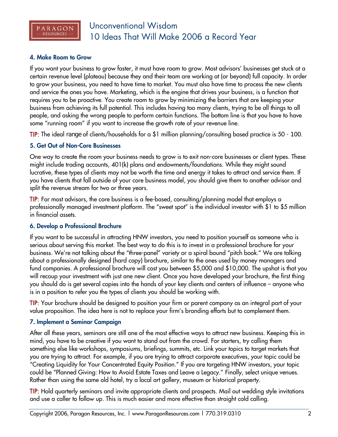

#### **4. Make Room to Grow**

If you want your business to grow faster, it must have room to grow. Most advisors' businesses get stuck at a certain revenue level (plateau) because they and their team are working at (or beyond) full capacity. In order to grow your business, you need to have time to market. You must also have time to process the new clients and service the ones you have. Marketing, which is the engine that drives your business, is a function that requires you to be proactive. You create room to grow by minimizing the barriers that are keeping your business from achieving its full potential. This includes having too many clients, trying to be all things to all people, and asking the wrong people to perform certain functions. The bottom line is that you have to have some "running room" if you want to increase the growth rate of your revenue line.

TIP: The ideal range of clients/households for a \$1 million planning/consulting based practice is 50 - 100.

# **5. Get Out of Non-Core Businesses**

One way to create the room your business needs to grow is to exit non-core businesses or client types. These might include trading accounts, 401(k) plans and endowments/foundations. While they might sound lucrative, these types of clients may not be worth the time and energy it takes to attract and service them. If you have clients that fall outside of your core business model, you should give them to another advisor and split the revenue stream for two or three years.

TIP: For most advisors, the core business is a fee-based, consulting/planning model that employs a professionally managed investment platform. The "sweet spot" is the individual investor with \$1 to \$5 million in financial assets.

# **6. Develop a Professional Brochure**

If you want to be successful in attracting HNW investors, you need to position yourself as someone who is serious about serving this market. The best way to do this is to invest in a professional brochure for your business. We're not talking about the "three-panel" variety or a spiral bound "pitch book." We are talking about a professionally designed (hard copy) brochure, similar to the ones used by money managers and fund companies. A professional brochure will cost you between \$5,000 and \$10,000. The upshot is that you will recoup your investment with just one new client. Once you have developed your brochure, the first thing you should do is get several copies into the hands of your key clients and centers of influence – anyone who is in a position to refer you the types of clients you should be working with.

TIP: Your brochure should be designed to position your firm or parent company as an integral part of your value proposition. The idea here is not to replace your firm's branding efforts but to complement them.

# **7. Implement a Seminar Campaign**

After all these years, seminars are still one of the most effective ways to attract new business. Keeping this in mind, you have to be creative if you want to stand out from the crowd. For starters, try calling them something else like workshops, symposiums, briefings, summits, etc. Link your topics to target markets that you are trying to attract. For example, if you are trying to attract corporate executives, your topic could be "Creating Liquidity for Your Concentrated Equity Position." If you are targeting HNW investors, your topic could be "Planned Giving: How to Avoid Estate Taxes and Leave a Legacy." Finally, select unique venues. Rather than using the same old hotel, try a local art gallery, museum or historical property.

TIP: Hold quarterly seminars and invite appropriate clients and prospects. Mail out wedding style invitations and use a caller to follow up. This is much easier and more effective than straight cold calling.